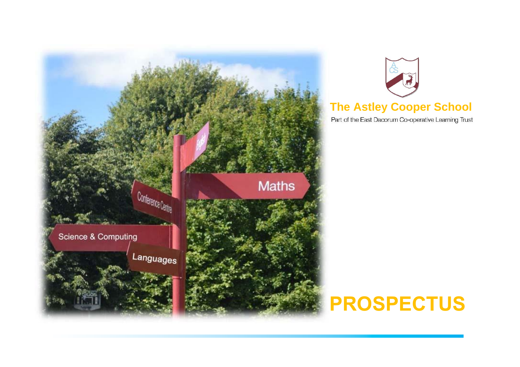



# **The Astley Cooper School**

Part of the East Dacorum Co-operative Learning Trust

# **PROSPECTUS**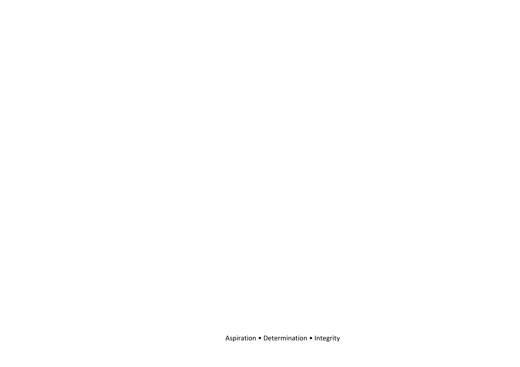Aspiration • Determination • Integrity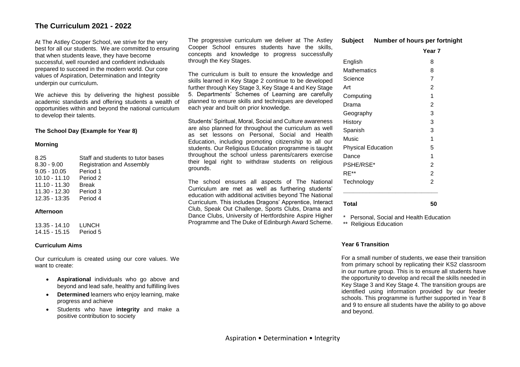# **The Curriculum 2021 - 2022**

At The Astley Cooper School, we strive for the very best for all our students. We are committed to ensuring that when students leave, they have become successful, well rounded and confident individuals prepared to succeed in the modern world. Our core values of Aspiration, Determination and Integrity underpin our curriculum.

We achieve this by delivering the highest possible academic standards and offering students a wealth of opportunities within and beyond the national curriculum to develop their talents.

#### **The School Day (Example for Year 8)**

#### **Morning**

| 8.25            | Staff and students to tutor bases |
|-----------------|-----------------------------------|
| $8.30 - 9.00$   | <b>Registration and Assembly</b>  |
| $9.05 - 10.05$  | Period 1                          |
| $10.10 - 11.10$ | Period 2                          |
| $11.10 - 11.30$ | <b>Break</b>                      |
| $11.30 - 12.30$ | Period 3                          |
| $12.35 - 13.35$ | Period 4                          |

#### **Afternoon**

13.35 - 14.10 LUNCH 14.15 - 15.15 Period 5

#### **Curriculum Aims**

Our curriculum is created using our core values. We want to create:

- **Aspirational** individuals who go above and beyond and lead safe, healthy and fulfilling lives
- **Determined** learners who enjoy learning, make progress and achieve
- Students who have **integrity** and make a positive contribution to society

The progressive curriculum we deliver at The Astley Cooper School ensures students have the skills, concepts and knowledge to progress successfully through the Key Stages.

The curriculum is built to ensure the knowledge and skills learned in Key Stage 2 continue to be developed further through Key Stage 3, Key Stage 4 and Key Stage 5. Departments' Schemes of Learning are carefully planned to ensure skills and techniques are developed each year and built on prior knowledge.

Students' Spiritual, Moral, Social and Culture awareness are also planned for throughout the curriculum as well as set lessons on Personal, Social and Health Education, including promoting citizenship to all our students. Our Religious Education programme is taught throughout the school unless parents/carers exercise their legal right to withdraw students on religious grounds.

The school ensures all aspects of The National Curriculum are met as well as furthering students' education with additional activities beyond The National Curriculum. This includes Dragons' Apprentice, Interact Club, Speak Out Challenge, Sports Clubs, Drama and Dance Clubs, University of Hertfordshire Aspire Higher Programme and The Duke of Edinburgh Award Scheme.

**Subject Number of hours per fortnight**

|                           | Year 7         |
|---------------------------|----------------|
| English                   | 8              |
| Mathematics               | 8              |
| Science                   | $\overline{7}$ |
| Art                       | $\overline{2}$ |
| Computing                 | 1              |
| Drama                     | $\overline{2}$ |
| Geography                 | 3              |
| History                   | 3              |
| Spanish                   | 3              |
| Music                     | 1              |
| <b>Physical Education</b> | 5              |
| Dance                     | 1              |
| PSHE/RSE*                 | $\overline{2}$ |
| RE**                      | $\overline{2}$ |
| Technology                | $\overline{2}$ |
| Total                     | 50             |

Personal, Social and Health Education

\*\* Religious Education

#### **Year 6 Transition**

For a small number of students, we ease their transition from primary school by replicating their KS2 classroom in our nurture group. This is to ensure all students have the opportunity to develop and recall the skills needed in Key Stage 3 and Key Stage 4. The transition groups are identified using information provided by our feeder schools. This programme is further supported in Year 8 and 9 to ensure all students have the ability to go above and beyond.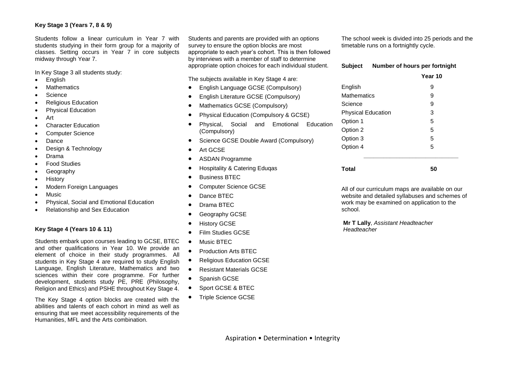#### **Key Stage 3 (Years 7, 8 & 9)**

Students follow a linear curriculum in Year 7 with students studying in their form group for a majority of classes. Setting occurs in Year 7 in core subjects midway through Year 7.

In Key Stage 3 all students study:

- English
- **Mathematics**
- **Science**
- Religious Education
- Physical Education
- Art
- Character Education
- Computer Science
- Dance
- Design & Technology
- Drama
- Food Studies
- Geography
- History
- Modern Foreign Languages
- **Music**
- Physical, Social and Emotional Education
- Relationship and Sex Education

### **Key Stage 4 (Years 10 & 11)**

Students embark upon courses leading to GCSE, BTEC and other qualifications in Year 10. We provide an element of choice in their study programmes. All students in Key Stage 4 are required to study English Language, English Literature, Mathematics and two sciences within their core programme. For further development, students study PE, PRE (Philosophy, Religion and Ethics) and PSHE throughout Key Stage 4.

The Key Stage 4 option blocks are created with the abilities and talents of each cohort in mind as well as ensuring that we meet accessibility requirements of the Humanities, MFL and the Arts combination.

Students and parents are provided with an options survey to ensure the option blocks are most appropriate to each year's cohort. This is then followed by interviews with a member of staff to determine appropriate option choices for each individual student.

The subjects available in Key Stage 4 are:

- English Language GCSE (Compulsory)
- **•** English Literature GCSE (Compulsory)
- Mathematics GCSE (Compulsory)
- Physical Education (Compulsory & GCSE)
- Physical, Social and Emotional Education (Compulsory)
- Science GCSE Double Award (Compulsory)
- **•** Art GCSE
- ASDAN Programme
- Hospitality & Catering Eduqas
- Business BTEC
- Computer Science GCSE
- Dance BTEC
- **•** Drama BTEC
- Geography GCSE
- History GCSE
- Film Studies GCSE
- Music BTEC
- Production Arts BTEC
- Religious Education GCSE
- Resistant Materials GCSE
- Spanish GCSE
- Sport GCSE & BTEC
- Triple Science GCSE

The school week is divided into 25 periods and the timetable runs on a fortnightly cycle.

# **Subject Number of hours per fortnight Year 10**

| Total                     | 50 |
|---------------------------|----|
| Option 4                  | 5  |
| Option 3                  | 5  |
| Option 2                  | 5  |
| Option 1                  | 5  |
| <b>Physical Education</b> | 3  |
| Science                   | 9  |
| <b>Mathematics</b>        | 9  |
| English                   | 9  |

All of our curriculum maps are available on our website and detailed syllabuses and schemes of work may be examined on application to the school.

**Mr T Lally**, *Assistant Headteacher Headteacher*